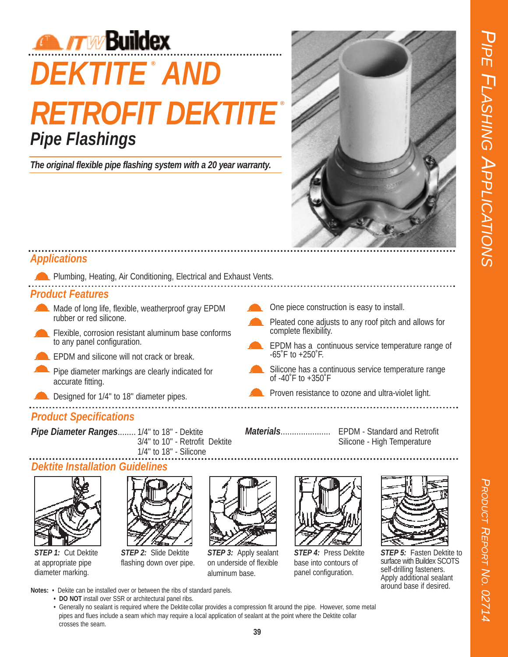

# **DEKTITE AND ® RETROFIT DEKTITE Pipe Flashings ®**

**The original flexible pipe flashing system with a 20 year warranty.**



## **Applications**

**Plumbing, Heating, Air Conditioning, Electrical and Exhaust Vents.** 

#### **Product Features**

- Made of long life, flexible, weatherproof gray EPDM rubber or red silicone.
- **Flexible, corrosion resistant aluminum base conforms** to any panel configuration.
- **EPDM** and silicone will not crack or break.
- Pipe diameter markings are clearly indicated for accurate fitting.
- Designed for 1/4" to 18" diameter pipes.

## **Product Specifications**

Pipe Diameter Ranges........ 1/4" to 18" - Dektite 3/4'' to 10'' - Retrofit Dektite 1/4'' to 18'' - Silicone

#### **Dektite Installation Guidelines**



**STEP 1:** Cut Dektite at appropriate pipe diameter marking.

crosses the seam.



**STEP 2:** Slide Dektite flashing down over pipe.

**Notes:** • Dekite can be installed over or between the ribs of standard panels. **• DO NOT** install over SSR or architectural panel ribs.



**STEP 3:** Apply sealant on underside of flexible aluminum base.



**STEP 4:** Press Dektite base into contours of panel configuration.



**STEP 5:** Fasten Dektite to surface with Buildex SCOTS self-drilling fasteners. Apply additional sealant around base if desired.

One piece construction is easy to install.

- Pleated cone adjusts to any roof pitch and allows for complete flexibility.
- EPDM has a continuous service temperature range of -65˚F to +250˚F.
- Silicone has a continuous service temperature range of -40˚F to +350˚F
- **Proven resistance to ozone and ultra-violet light.**
- 

**Materials**...................... EPDM - Standard and Retrofit Silicone - High Temperature

• Generally no sealant is required where the Dektite collar provides a compression fit around the pipe. However, some metal